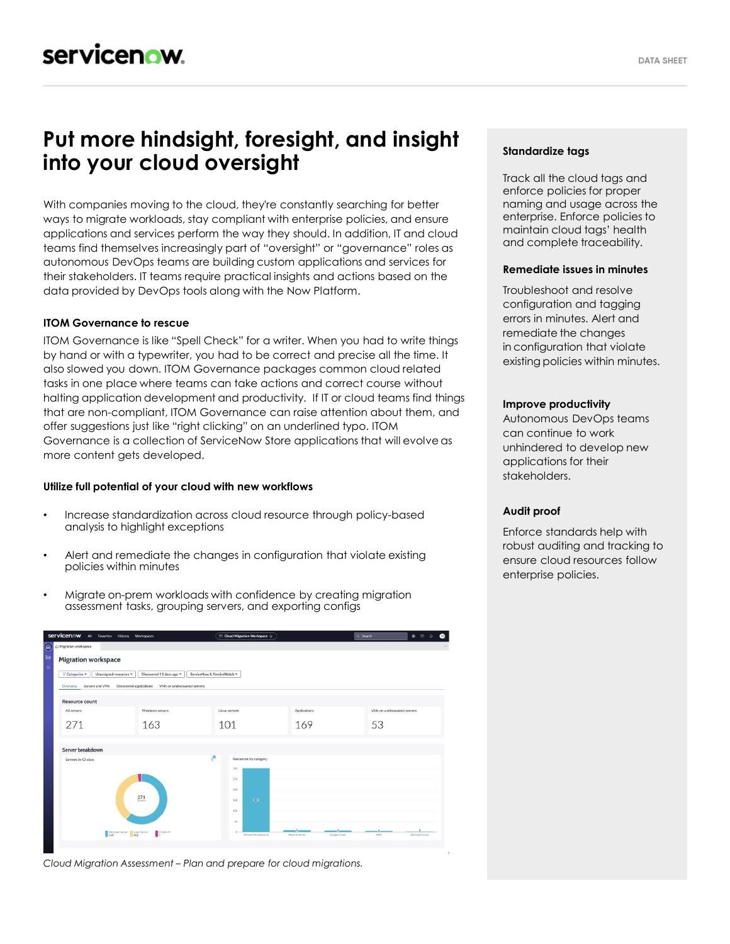# **Put more hindsight, foresight, and insight into your cloud oversight**

With companies moving to the cloud, they're constantly searching for better ways to migrate workloads, stay compliant with enterprise policies, and ensure applications and services perform the way they should. In addition, IT and cloud teams find themselves increasingly part of "oversight" or "governance" roles as autonomous DevOps teams are building custom applications and services for their stakeholders. IT teams require practical insights and actions based on the data provided by DevOps tools along with the Now Platform.

# **ITOM Governance to rescue**

ITOM Governance is like "Spell Check" for a writer. When you had to write things by hand or with a typewriter, you had to be correct and precise all the time. It also slowed you down. ITOM Governance packages common cloud related tasks in one place where teams can take actions and correct course without halting application development and productivity. If IT or cloud teams find things that are non-compliant, ITOM Governance can raise attention about them, and offer suggestions just like "right clicking" on an underlined typo. ITOM Governance is a collection of ServiceNow Store applications that will evolve as more content gets developed.

### **Utilize full potential of your cloud with new workflows**

- Increase standardization across cloud resource through policy-based analysis to highlight exceptions
- Alert and remediate the changes in configuration that violate existing policies within minutes
- Migrate on-prem workloads with confidence by creating migration assessment tasks, grouping servers, and exporting configs



*Cloud Migration Assessment – Plan and prepare for cloud migrations.*

# **Standardize tags**

Track all the cloud tags and enforce policies for proper naming and usage across the enterprise. Enforce policies to maintain cloud tags' health and complete traceability.

### **Remediate issues in minutes**

Troubleshoot and resolve configuration and tagging errors in minutes. Alert and remediate the changes in configuration that violate existing policies within minutes.

### **Improve productivity**

Autonomous DevOps teams can continue to work unhindered to develop new applications for their stakeholders.

### **Audit proof**

Enforce standards help with robust auditing and tracking to ensure cloud resources follow enterprise policies.